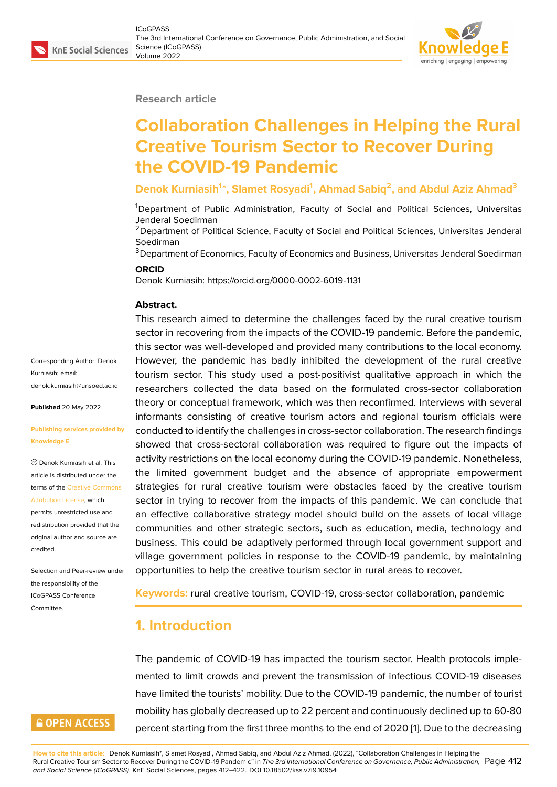#### **Research article**

# **Collaboration Challenges in Helping the Rural Creative Tourism Sector to Recover During the COVID-19 Pandemic**

#### **Denok Kurniasih<sup>1</sup> \*, Slamet Rosyadi<sup>1</sup> , Ahmad Sabiq<sup>2</sup> , and Abdul Aziz Ahmad<sup>3</sup>**

<sup>1</sup>Department of Public Administration, Faculty of Social and Political Sciences, Universitas Jenderal Soedirman

<sup>2</sup> Department of Political Science, Faculty of Social and Political Sciences, Universitas Jenderal Soedirman

<sup>3</sup>Department of Economics, Faculty of Economics and Business, Universitas Jenderal Soedirman

#### **ORCID**

Denok Kurniasih: https://orcid.org/0000-0002-6019-1131

#### **Abstract.**

This research aimed to determine the challenges faced by the rural creative tourism sector in recovering from the impacts of the COVID-19 pandemic. Before the pandemic, this sector was well-developed and provided many contributions to the local economy. However, the pandemic has badly inhibited the development of the rural creative tourism sector. This study used a post-positivist qualitative approach in which the researchers collected the data based on the formulated cross-sector collaboration theory or conceptual framework, which was then reconfirmed. Interviews with several informants consisting of creative tourism actors and regional tourism officials were conducted to identify the challenges in cross-sector collaboration. The research findings showed that cross-sectoral collaboration was required to figure out the impacts of activity restrictions on the local economy during the COVID-19 pandemic. Nonetheless, the limited government budget and the absence of appropriate empowerment strategies for rural creative tourism were obstacles faced by the creative tourism sector in trying to recover from the impacts of this pandemic. We can conclude that an effective collaborative strategy model should build on the assets of local village communities and other strategic sectors, such as education, media, technology and business. This could be adaptively performed through local government support and village government policies in response to the COVID-19 pandemic, by maintaining opportunities to help the creative tourism sector in rural areas to recover.

**Keywords:** rural creative tourism, COVID-19, cross-sector collaboration, pandemic

#### **1. Introduction**

The pandemic of COVID-19 has impacted the tourism sector. Health protocols implemented to limit crowds and prevent the transmission of infectious COVID-19 diseases have limited the tourists' mobility. Due to the COVID-19 pandemic, the number of tourist mobility has globally decreased up to 22 percent and continuously declined up to 60-80 percent starting from the first three months to the end of 2020 [1]. Due to the decreasing

**How to cite this article**: Denok Kurniasih\*, Slamet Rosyadi, Ahmad Sabiq, and Abdul Aziz Ahmad, (2022), "Collaboration Challenges in Helping the Rural Creative Tourism Sector to Recover During the COVID-19 Pandemic" in *The 3rd International Conference on Governance, Public Administration,* Page 412 *and Social Science (ICoGPASS)*, KnE Social Sciences, pages 412–422. DOI 10.18502/kss.v7i9.10954

Corresponding Author: Denok Kurniasih; email: denok.kurniasih@unsoed.ac.id

**Published** 20 May 2022

#### **[Publishing services provided b](mailto:denok.kurniasih@unsoed.ac.id)y Knowledge E**

Denok Kurniasih et al. This article is distributed under the terms of the Creative Commons Attribution License, which

permits unrestricted use and redistribution provided that the original auth[or and source are](https://creativecommons.org/licenses/by/4.0/) [credited.](https://creativecommons.org/licenses/by/4.0/)

Selection and Peer-review under the responsibility of the ICoGPASS Conference Committee.

### **GOPEN ACCESS**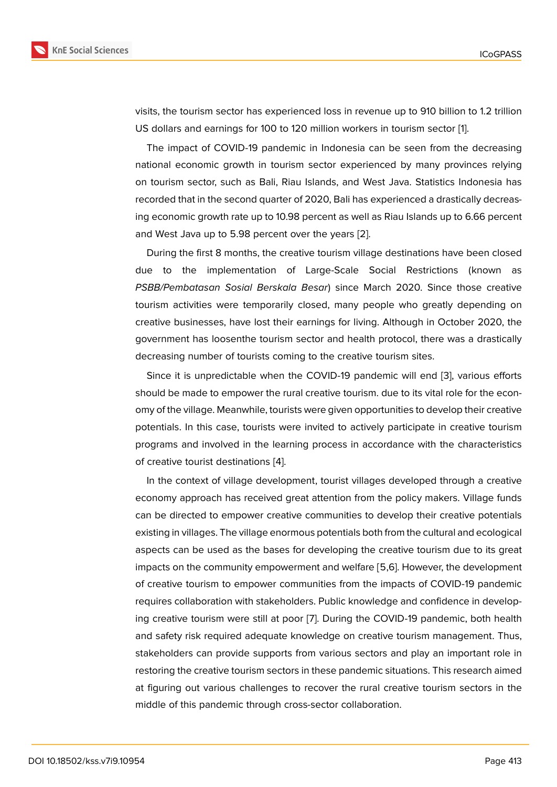visits, the tourism sector has experienced loss in revenue up to 910 billion to 1.2 trillion US dollars and earnings for 100 to 120 million workers in tourism sector [1].

The impact of COVID-19 pandemic in Indonesia can be seen from the decreasing national economic growth in tourism sector experienced by many provinces relying on tourism sector, such as Bali, Riau Islands, and West Java. Statistics [In](#page-8-0)donesia has recorded that in the second quarter of 2020, Bali has experienced a drastically decreasing economic growth rate up to 10.98 percent as well as Riau Islands up to 6.66 percent and West Java up to 5.98 percent over the years [2].

During the first 8 months, the creative tourism village destinations have been closed due to the implementation of Large-Scale Social Restrictions (known as *PSBB/Pembatasan Sosial Berskala Besar*) since [M](#page-8-1)arch 2020. Since those creative tourism activities were temporarily closed, many people who greatly depending on creative businesses, have lost their earnings for living. Although in October 2020, the government has loosenthe tourism sector and health protocol, there was a drastically decreasing number of tourists coming to the creative tourism sites.

Since it is unpredictable when the COVID-19 pandemic will end [3], various efforts should be made to empower the rural creative tourism. due to its vital role for the economy of the village. Meanwhile, tourists were given opportunities to develop their creative potentials. In this case, tourists were invited to actively participate i[n](#page-8-2) creative tourism programs and involved in the learning process in accordance with the characteristics of creative tourist destinations [4].

In the context of village development, tourist villages developed through a creative economy approach has received great attention from the policy makers. Village funds can be directed to empower cr[ea](#page-8-3)tive communities to develop their creative potentials existing in villages. The village enormous potentials both from the cultural and ecological aspects can be used as the bases for developing the creative tourism due to its great impacts on the community empowerment and welfare [5,6]. However, the development of creative tourism to empower communities from the impacts of COVID-19 pandemic requires collaboration with stakeholders. Public knowledge and confidence in developing creative tourism were still at poor [7]. During the COVID-19 pandemic, both health and safety risk required adequate knowledge on creative tourism management. Thus, stakeholders can provide supports from various sectors and play an important role in restoring the creative tourism sectors i[n t](#page-9-0)hese pandemic situations. This research aimed at figuring out various challenges to recover the rural creative tourism sectors in the middle of this pandemic through cross-sector collaboration.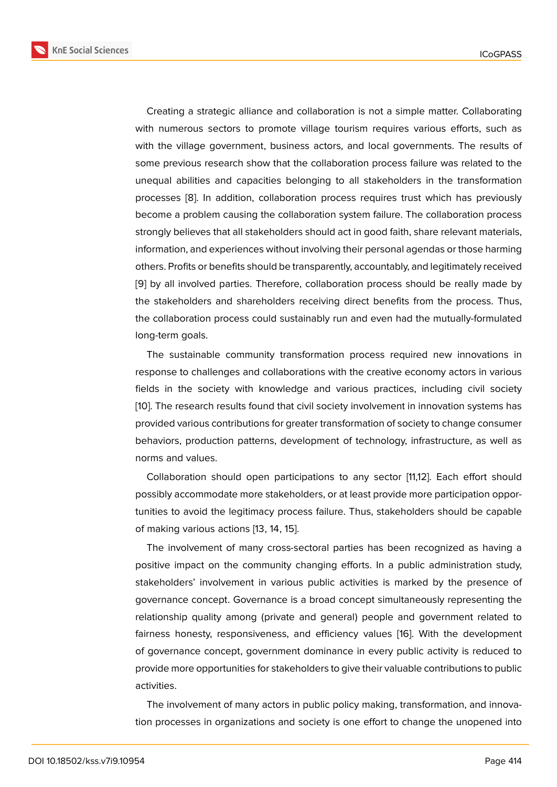Creating a strategic alliance and collaboration is not a simple matter. Collaborating with numerous sectors to promote village tourism requires various efforts, such as with the village government, business actors, and local governments. The results of some previous research show that the collaboration process failure was related to the unequal abilities and capacities belonging to all stakeholders in the transformation processes [8]. In addition, collaboration process requires trust which has previously become a problem causing the collaboration system failure. The collaboration process strongly believes that all stakeholders should act in good faith, share relevant materials, information[, a](#page-9-1)nd experiences without involving their personal agendas or those harming others. Profits or benefits should be transparently, accountably, and legitimately received [9] by all involved parties. Therefore, collaboration process should be really made by the stakeholders and shareholders receiving direct benefits from the process. Thus, the collaboration process could sustainably run and even had the mutually-formulated l[on](#page-9-2)g-term goals.

The sustainable community transformation process required new innovations in response to challenges and collaborations with the creative economy actors in various fields in the society with knowledge and various practices, including civil society [10]. The research results found that civil society involvement in innovation systems has provided various contributions for greater transformation of society to change consumer behaviors, production patterns, development of technology, infrastructure, as well as [nor](#page-9-3)ms and values.

Collaboration should open participations to any sector [11,12]. Each effort should possibly accommodate more stakeholders, or at least provide more participation opportunities to avoid the legitimacy process failure. Thus, stakeholders should be capable of making various actions [13, 14, 15].

The involvement of many cross-sectoral parties has been recognized as having a positive impact on the community changing efforts. In a public administration study, stakeholders' involvement in various public activities is marked by the presence of governance concept. Governance is a broad concept simultaneously representing the relationship quality among (private and general) people and government related to fairness honesty, responsiveness, and efficiency values [16]. With the development of governance concept, government dominance in every public activity is reduced to provide more opportunities for stakeholders to give their valuable contributions to public activities.

The involvement of many actors in public policy making, transformation, and innovation processes in organizations and society is one effort to change the unopened into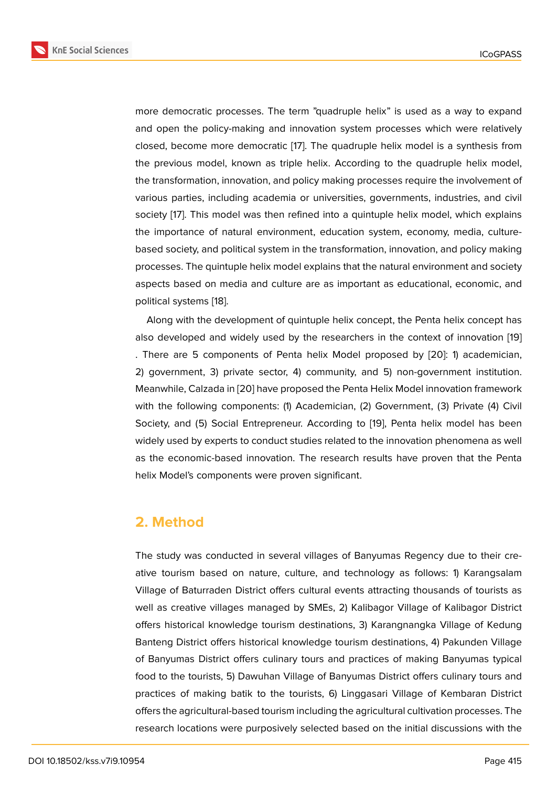more democratic processes. The term "quadruple helix" is used as a way to expand and open the policy-making and innovation system processes which were relatively closed, become more democratic [17]. The quadruple helix model is a synthesis from the previous model, known as triple helix. According to the quadruple helix model, the transformation, innovation, and policy making processes require the involvement of various parties, including academi[a o](#page-9-4)r universities, governments, industries, and civil society [17]. This model was then refined into a quintuple helix model, which explains the importance of natural environment, education system, economy, media, culturebased society, and political system in the transformation, innovation, and policy making process[es.](#page-9-4) The quintuple helix model explains that the natural environment and society aspects based on media and culture are as important as educational, economic, and political systems [18].

Along with the development of quintuple helix concept, the Penta helix concept has also developed and widely used by the researchers in the context of innovation [19] . There are 5 co[mp](#page-9-5)onents of Penta helix Model proposed by [20]: 1) academician, 2) government, 3) private sector, 4) community, and 5) non-government institution. Meanwhile, Calzada in [20] have proposed the Penta Helix Model innovation framew[ork](#page-9-6) with the following components: (1) Academician, (2) Government[, \(3](#page-10-0)) Private (4) Civil Society, and (5) Social Entrepreneur. According to [19], Penta helix model has been widely used by experts [to c](#page-10-0)onduct studies related to the innovation phenomena as well as the economic-based innovation. The research results have proven that the Penta helix Model's components were proven significant.

#### **2. Method**

The study was conducted in several villages of Banyumas Regency due to their creative tourism based on nature, culture, and technology as follows: 1) Karangsalam Village of Baturraden District offers cultural events attracting thousands of tourists as well as creative villages managed by SMEs, 2) Kalibagor Village of Kalibagor District offers historical knowledge tourism destinations, 3) Karangnangka Village of Kedung Banteng District offers historical knowledge tourism destinations, 4) Pakunden Village of Banyumas District offers culinary tours and practices of making Banyumas typical food to the tourists, 5) Dawuhan Village of Banyumas District offers culinary tours and practices of making batik to the tourists, 6) Linggasari Village of Kembaran District offers the agricultural-based tourism including the agricultural cultivation processes. The research locations were purposively selected based on the initial discussions with the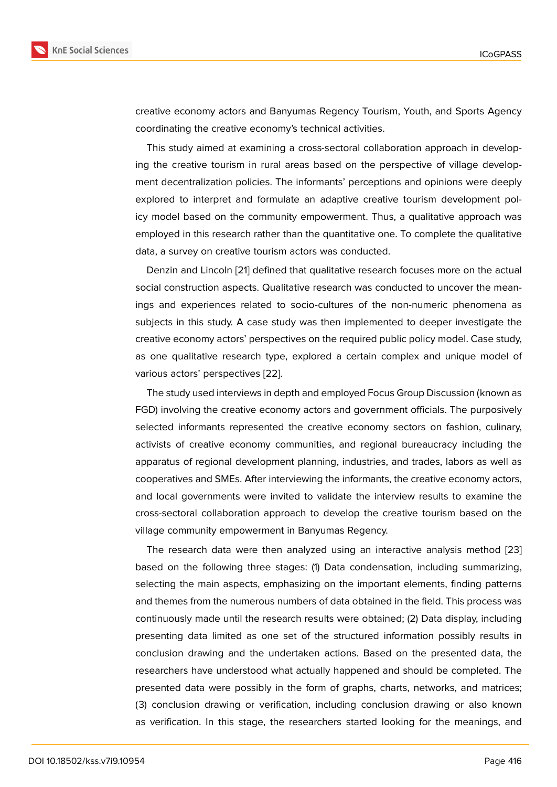creative economy actors and Banyumas Regency Tourism, Youth, and Sports Agency coordinating the creative economy's technical activities.

This study aimed at examining a cross-sectoral collaboration approach in developing the creative tourism in rural areas based on the perspective of village development decentralization policies. The informants' perceptions and opinions were deeply explored to interpret and formulate an adaptive creative tourism development policy model based on the community empowerment. Thus, a qualitative approach was employed in this research rather than the quantitative one. To complete the qualitative data, a survey on creative tourism actors was conducted.

Denzin and Lincoln [21] defined that qualitative research focuses more on the actual social construction aspects. Qualitative research was conducted to uncover the meanings and experiences related to socio-cultures of the non-numeric phenomena as subjects in this study. [A c](#page-10-1)ase study was then implemented to deeper investigate the creative economy actors' perspectives on the required public policy model. Case study, as one qualitative research type, explored a certain complex and unique model of various actors' perspectives [22].

The study used interviews in depth and employed Focus Group Discussion (known as FGD) involving the creative economy actors and government officials. The purposively selected informants represe[nte](#page-10-2)d the creative economy sectors on fashion, culinary, activists of creative economy communities, and regional bureaucracy including the apparatus of regional development planning, industries, and trades, labors as well as cooperatives and SMEs. After interviewing the informants, the creative economy actors, and local governments were invited to validate the interview results to examine the cross-sectoral collaboration approach to develop the creative tourism based on the village community empowerment in Banyumas Regency.

The research data were then analyzed using an interactive analysis method [23] based on the following three stages: (1) Data condensation, including summarizing, selecting the main aspects, emphasizing on the important elements, finding patterns and themes from the numerous numbers of data obtained in the field. This process [was](#page-10-3) continuously made until the research results were obtained; (2) Data display, including presenting data limited as one set of the structured information possibly results in conclusion drawing and the undertaken actions. Based on the presented data, the researchers have understood what actually happened and should be completed. The presented data were possibly in the form of graphs, charts, networks, and matrices; (3) conclusion drawing or verification, including conclusion drawing or also known as verification. In this stage, the researchers started looking for the meanings, and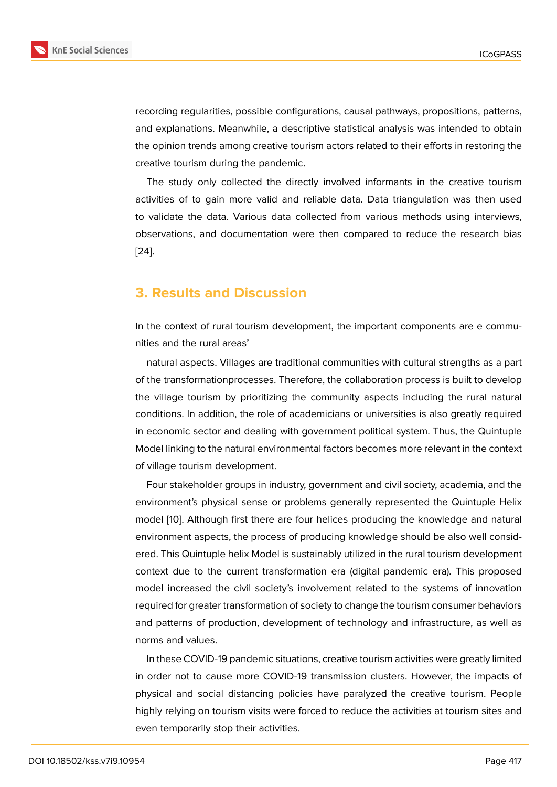recording regularities, possible configurations, causal pathways, propositions, patterns, and explanations. Meanwhile, a descriptive statistical analysis was intended to obtain the opinion trends among creative tourism actors related to their efforts in restoring the creative tourism during the pandemic.

The study only collected the directly involved informants in the creative tourism activities of to gain more valid and reliable data. Data triangulation was then used to validate the data. Various data collected from various methods using interviews, observations, and documentation were then compared to reduce the research bias [24].

### **[3.](#page-10-4) Results and Discussion**

In the context of rural tourism development, the important components are e communities and the rural areas'

natural aspects. Villages are traditional communities with cultural strengths as a part of the transformationprocesses. Therefore, the collaboration process is built to develop the village tourism by prioritizing the community aspects including the rural natural conditions. In addition, the role of academicians or universities is also greatly required in economic sector and dealing with government political system. Thus, the Quintuple Model linking to the natural environmental factors becomes more relevant in the context of village tourism development.

Four stakeholder groups in industry, government and civil society, academia, and the environment's physical sense or problems generally represented the Quintuple Helix model [10]. Although first there are four helices producing the knowledge and natural environment aspects, the process of producing knowledge should be also well considered. This Quintuple helix Model is sustainably utilized in the rural tourism development context [du](#page-9-3)e to the current transformation era (digital pandemic era). This proposed model increased the civil society's involvement related to the systems of innovation required for greater transformation of society to change the tourism consumer behaviors and patterns of production, development of technology and infrastructure, as well as norms and values.

In these COVID-19 pandemic situations, creative tourism activities were greatly limited in order not to cause more COVID-19 transmission clusters. However, the impacts of physical and social distancing policies have paralyzed the creative tourism. People highly relying on tourism visits were forced to reduce the activities at tourism sites and even temporarily stop their activities.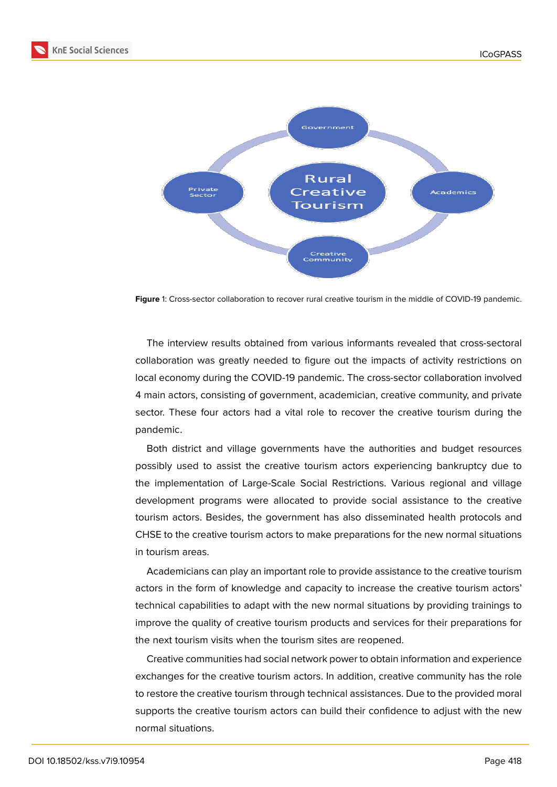



**Figure** 1: Cross-sector collaboration to recover rural creative tourism in the middle of COVID-19 pandemic.

The interview results obtained from various informants revealed that cross-sectoral collaboration was greatly needed to figure out the impacts of activity restrictions on local economy during the COVID-19 pandemic. The cross-sector collaboration involved 4 main actors, consisting of government, academician, creative community, and private sector. These four actors had a vital role to recover the creative tourism during the pandemic.

Both district and village governments have the authorities and budget resources possibly used to assist the creative tourism actors experiencing bankruptcy due to the implementation of Large-Scale Social Restrictions. Various regional and village development programs were allocated to provide social assistance to the creative tourism actors. Besides, the government has also disseminated health protocols and CHSE to the creative tourism actors to make preparations for the new normal situations in tourism areas.

Academicians can play an important role to provide assistance to the creative tourism actors in the form of knowledge and capacity to increase the creative tourism actors' technical capabilities to adapt with the new normal situations by providing trainings to improve the quality of creative tourism products and services for their preparations for the next tourism visits when the tourism sites are reopened.

Creative communities had social network power to obtain information and experience exchanges for the creative tourism actors. In addition, creative community has the role to restore the creative tourism through technical assistances. Due to the provided moral supports the creative tourism actors can build their confidence to adjust with the new normal situations.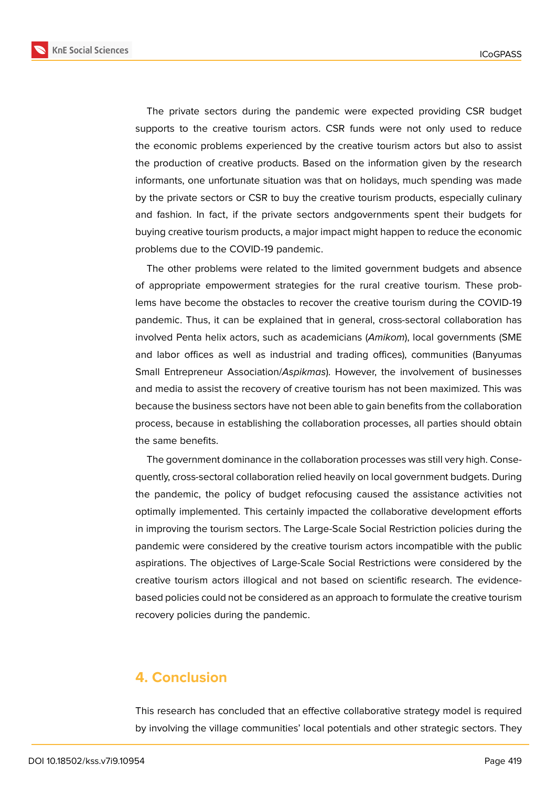**KnE Social Sciences** 



The private sectors during the pandemic were expected providing CSR budget supports to the creative tourism actors. CSR funds were not only used to reduce the economic problems experienced by the creative tourism actors but also to assist the production of creative products. Based on the information given by the research informants, one unfortunate situation was that on holidays, much spending was made by the private sectors or CSR to buy the creative tourism products, especially culinary and fashion. In fact, if the private sectors andgovernments spent their budgets for buying creative tourism products, a major impact might happen to reduce the economic problems due to the COVID-19 pandemic.

The other problems were related to the limited government budgets and absence of appropriate empowerment strategies for the rural creative tourism. These problems have become the obstacles to recover the creative tourism during the COVID-19 pandemic. Thus, it can be explained that in general, cross-sectoral collaboration has involved Penta helix actors, such as academicians (*Amikom*), local governments (SME and labor offices as well as industrial and trading offices), communities (Banyumas Small Entrepreneur Association/*Aspikmas*). However, the involvement of businesses and media to assist the recovery of creative tourism has not been maximized. This was because the business sectors have not been able to gain benefits from the collaboration process, because in establishing the collaboration processes, all parties should obtain the same benefits.

The government dominance in the collaboration processes was still very high. Consequently, cross-sectoral collaboration relied heavily on local government budgets. During the pandemic, the policy of budget refocusing caused the assistance activities not optimally implemented. This certainly impacted the collaborative development efforts in improving the tourism sectors. The Large-Scale Social Restriction policies during the pandemic were considered by the creative tourism actors incompatible with the public aspirations. The objectives of Large-Scale Social Restrictions were considered by the creative tourism actors illogical and not based on scientific research. The evidencebased policies could not be considered as an approach to formulate the creative tourism recovery policies during the pandemic.

#### **4. Conclusion**

This research has concluded that an effective collaborative strategy model is required by involving the village communities' local potentials and other strategic sectors. They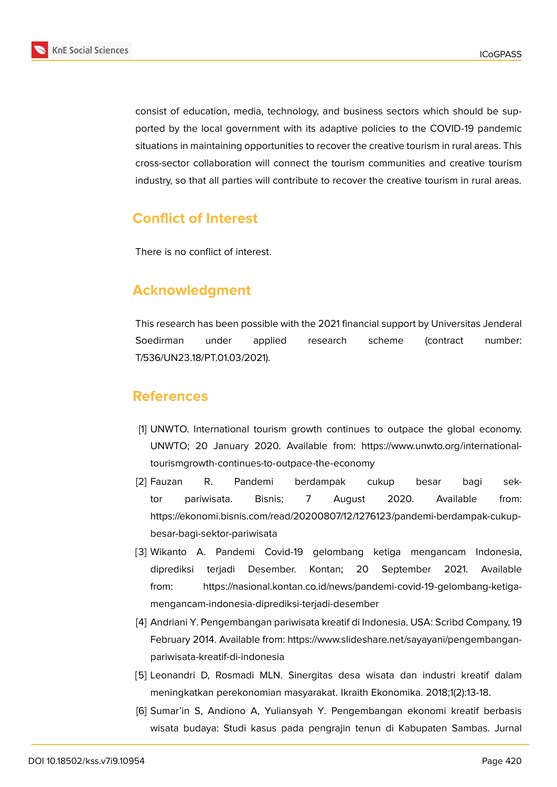

consist of education, media, technology, and business sectors which should be supported by the local government with its adaptive policies to the COVID-19 pandemic situations in maintaining opportunities to recover the creative tourism in rural areas. This cross-sector collaboration will connect the tourism communities and creative tourism industry, so that all parties will contribute to recover the creative tourism in rural areas.

## **Conflict of Interest**

There is no conflict of interest.

## **Acknowledgment**

This research has been possible with the 2021 financial support by Universitas Jenderal Soedirman under applied research scheme (contract number: T/536/UN23.18/PT.01.03/2021).

### **References**

- <span id="page-8-0"></span>[1] UNWTO. International tourism growth continues to outpace the global economy. UNWTO; 20 January 2020. Available from: https://www.unwto.org/internationaltourismgrowth-continues-to-outpace-the-economy
- <span id="page-8-1"></span>[2] Fauzan R. Pandemi berdampak cukup besar bagi sektor pariwisata. Bisnis; 7 August 2020. Available from: https://ekonomi.bisnis.com/read/20200807/12/1276123/pandemi-berdampak-cukupbesar-bagi-sektor-pariwisata
- <span id="page-8-2"></span>[3] Wikanto A. Pandemi Covid-19 gelombang ketiga mengancam Indonesia, diprediksi terjadi Desember. Kontan; 20 September 2021. Available from: https://nasional.kontan.co.id/news/pandemi-covid-19-gelombang-ketigamengancam-indonesia-diprediksi-terjadi-desember
- <span id="page-8-3"></span>[4] Andriani Y. Pengembangan pariwisata kreatif di Indonesia. USA: Scribd Company, 19 February 2014. Available from: https://www.slideshare.net/sayayani/pengembanganpariwisata-kreatif-di-indonesia
- [5] Leonandri D, Rosmadi MLN. Sinergitas desa wisata dan industri kreatif dalam meningkatkan perekonomian masyarakat. Ikraith Ekonomika. 2018;1(2):13-18.
- [6] Sumar'in S, Andiono A, Yuliansyah Y. Pengembangan ekonomi kreatif berbasis wisata budaya: Studi kasus pada pengrajin tenun di Kabupaten Sambas. Jurnal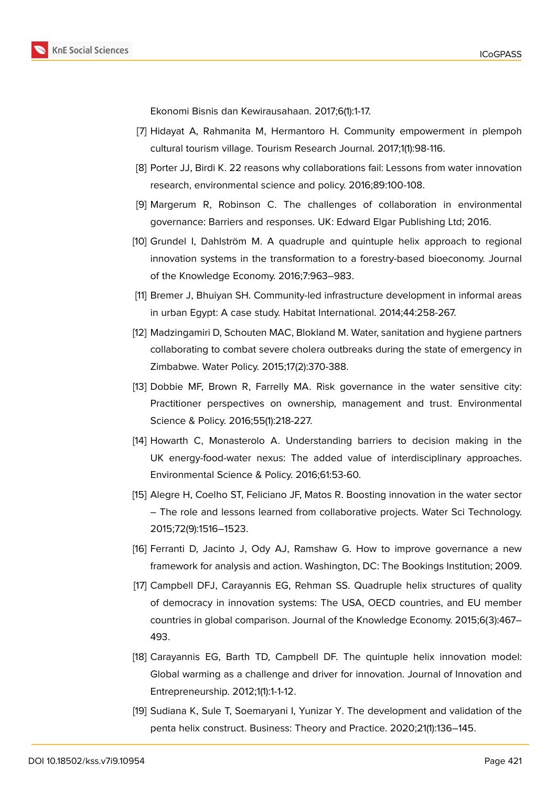Ekonomi Bisnis dan Kewirausahaan. 2017;6(1):1-17.

- <span id="page-9-0"></span>[7] Hidayat A, Rahmanita M, Hermantoro H. Community empowerment in plempoh cultural tourism village. Tourism Research Journal. 2017;1(1):98-116.
- <span id="page-9-1"></span>[8] Porter JJ, Birdi K. 22 reasons why collaborations fail: Lessons from water innovation research, environmental science and policy. 2016;89:100-108.
- <span id="page-9-2"></span>[9] Margerum R, Robinson C. The challenges of collaboration in environmental governance: Barriers and responses. UK: Edward Elgar Publishing Ltd; 2016.
- <span id="page-9-3"></span>[10] Grundel I, Dahlström M. A quadruple and quintuple helix approach to regional innovation systems in the transformation to a forestry-based bioeconomy. Journal of the Knowledge Economy. 2016;7:963–983.
- [11] Bremer J, Bhuiyan SH. Community-led infrastructure development in informal areas in urban Egypt: A case study. Habitat International. 2014;44:258-267.
- [12] Madzingamiri D, Schouten MAC, Blokland M. Water, sanitation and hygiene partners collaborating to combat severe cholera outbreaks during the state of emergency in Zimbabwe. Water Policy. 2015;17(2):370-388.
- [13] Dobbie MF, Brown R, Farrelly MA. Risk governance in the water sensitive city: Practitioner perspectives on ownership, management and trust. Environmental Science & Policy. 2016;55(1):218-227.
- [14] Howarth C, Monasterolo A. Understanding barriers to decision making in the UK energy-food-water nexus: The added value of interdisciplinary approaches. Environmental Science & Policy. 2016;61:53-60.
- [15] Alegre H, Coelho ST, Feliciano JF, Matos R. Boosting innovation in the water sector – The role and lessons learned from collaborative projects. Water Sci Technology. 2015;72(9):1516–1523.
- [16] Ferranti D, Jacinto J, Ody AJ, Ramshaw G. How to improve governance a new framework for analysis and action. Washington, DC: The Bookings Institution; 2009.
- <span id="page-9-4"></span>[17] Campbell DFJ, Carayannis EG, Rehman SS. Quadruple helix structures of quality of democracy in innovation systems: The USA, OECD countries, and EU member countries in global comparison. Journal of the Knowledge Economy. 2015;6(3):467– 493.
- <span id="page-9-5"></span>[18] Carayannis EG, Barth TD, Campbell DF. The quintuple helix innovation model: Global warming as a challenge and driver for innovation. Journal of Innovation and Entrepreneurship. 2012;1(1):1-1-12.
- <span id="page-9-6"></span>[19] Sudiana K, Sule T, Soemaryani I, Yunizar Y. The development and validation of the penta helix construct. Business: Theory and Practice. 2020;21(1):136–145.